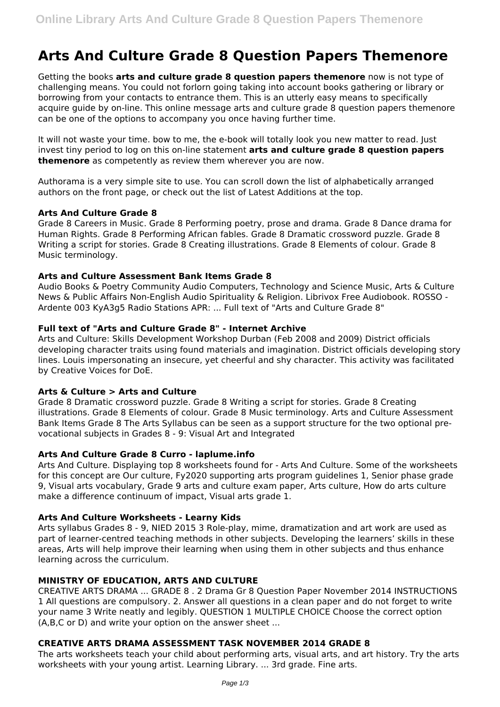# **Arts And Culture Grade 8 Question Papers Themenore**

Getting the books **arts and culture grade 8 question papers themenore** now is not type of challenging means. You could not forlorn going taking into account books gathering or library or borrowing from your contacts to entrance them. This is an utterly easy means to specifically acquire guide by on-line. This online message arts and culture grade 8 question papers themenore can be one of the options to accompany you once having further time.

It will not waste your time. bow to me, the e-book will totally look you new matter to read. Just invest tiny period to log on this on-line statement **arts and culture grade 8 question papers themenore** as competently as review them wherever you are now.

Authorama is a very simple site to use. You can scroll down the list of alphabetically arranged authors on the front page, or check out the list of Latest Additions at the top.

## **Arts And Culture Grade 8**

Grade 8 Careers in Music. Grade 8 Performing poetry, prose and drama. Grade 8 Dance drama for Human Rights. Grade 8 Performing African fables. Grade 8 Dramatic crossword puzzle. Grade 8 Writing a script for stories. Grade 8 Creating illustrations. Grade 8 Elements of colour. Grade 8 Music terminology.

## **Arts and Culture Assessment Bank Items Grade 8**

Audio Books & Poetry Community Audio Computers, Technology and Science Music, Arts & Culture News & Public Affairs Non-English Audio Spirituality & Religion. Librivox Free Audiobook. ROSSO - Ardente 003 KyA3g5 Radio Stations APR: ... Full text of "Arts and Culture Grade 8"

# **Full text of "Arts and Culture Grade 8" - Internet Archive**

Arts and Culture: Skills Development Workshop Durban (Feb 2008 and 2009) District officials developing character traits using found materials and imagination. District officials developing story lines. Louis impersonating an insecure, yet cheerful and shy character. This activity was facilitated by Creative Voices for DoE.

# **Arts & Culture > Arts and Culture**

Grade 8 Dramatic crossword puzzle. Grade 8 Writing a script for stories. Grade 8 Creating illustrations. Grade 8 Elements of colour. Grade 8 Music terminology. Arts and Culture Assessment Bank Items Grade 8 The Arts Syllabus can be seen as a support structure for the two optional prevocational subjects in Grades 8 - 9: Visual Art and Integrated

## **Arts And Culture Grade 8 Curro - laplume.info**

Arts And Culture. Displaying top 8 worksheets found for - Arts And Culture. Some of the worksheets for this concept are Our culture, Fy2020 supporting arts program guidelines 1, Senior phase grade 9, Visual arts vocabulary, Grade 9 arts and culture exam paper, Arts culture, How do arts culture make a difference continuum of impact, Visual arts grade 1.

## **Arts And Culture Worksheets - Learny Kids**

Arts syllabus Grades 8 - 9, NIED 2015 3 Role-play, mime, dramatization and art work are used as part of learner-centred teaching methods in other subjects. Developing the learners' skills in these areas, Arts will help improve their learning when using them in other subjects and thus enhance learning across the curriculum.

# **MINISTRY OF EDUCATION, ARTS AND CULTURE**

CREATIVE ARTS DRAMA ... GRADE 8 . 2 Drama Gr 8 Question Paper November 2014 INSTRUCTIONS 1 All questions are compulsory. 2. Answer all questions in a clean paper and do not forget to write your name 3 Write neatly and legibly. QUESTION 1 MULTIPLE CHOICE Choose the correct option (A,B,C or D) and write your option on the answer sheet ...

# **CREATIVE ARTS DRAMA ASSESSMENT TASK NOVEMBER 2014 GRADE 8**

The arts worksheets teach your child about performing arts, visual arts, and art history. Try the arts worksheets with your young artist. Learning Library. ... 3rd grade. Fine arts.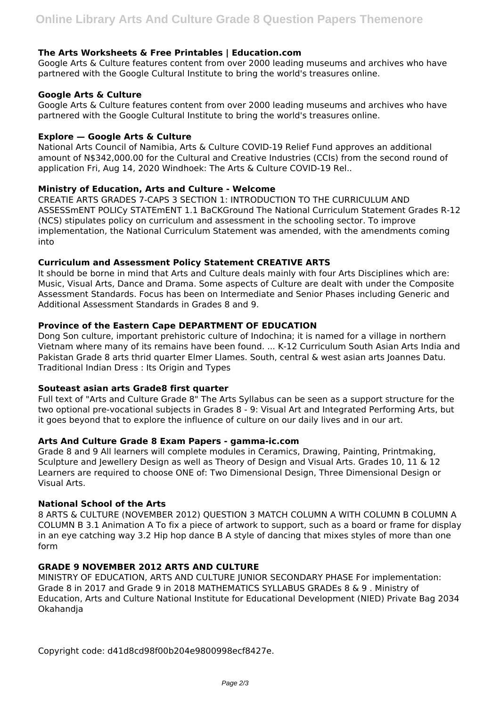## **The Arts Worksheets & Free Printables | Education.com**

Google Arts & Culture features content from over 2000 leading museums and archives who have partnered with the Google Cultural Institute to bring the world's treasures online.

## **Google Arts & Culture**

Google Arts & Culture features content from over 2000 leading museums and archives who have partnered with the Google Cultural Institute to bring the world's treasures online.

## **Explore — Google Arts & Culture**

National Arts Council of Namibia, Arts & Culture COVID-19 Relief Fund approves an additional amount of N\$342,000.00 for the Cultural and Creative Industries (CCIs) from the second round of application Fri, Aug 14, 2020 Windhoek: The Arts & Culture COVID-19 Rel..

## **Ministry of Education, Arts and Culture - Welcome**

CREATIE ARTS GRADES 7-CAPS 3 SECTION 1: INTRODUCTION TO THE CURRICULUM AND ASSESSmENT POLICy STATEmENT 1.1 BaCKGround The National Curriculum Statement Grades R-12 (NCS) stipulates policy on curriculum and assessment in the schooling sector. To improve implementation, the National Curriculum Statement was amended, with the amendments coming into

## **Curriculum and Assessment Policy Statement CREATIVE ARTS**

It should be borne in mind that Arts and Culture deals mainly with four Arts Disciplines which are: Music, Visual Arts, Dance and Drama. Some aspects of Culture are dealt with under the Composite Assessment Standards. Focus has been on Intermediate and Senior Phases including Generic and Additional Assessment Standards in Grades 8 and 9.

## **Province of the Eastern Cape DEPARTMENT OF EDUCATION**

Dong Son culture, important prehistoric culture of Indochina; it is named for a village in northern Vietnam where many of its remains have been found. ... K-12 Curriculum South Asian Arts India and Pakistan Grade 8 arts thrid quarter Elmer Llames. South, central & west asian arts Joannes Datu. Traditional Indian Dress : Its Origin and Types

## **Souteast asian arts Grade8 first quarter**

Full text of "Arts and Culture Grade 8" The Arts Syllabus can be seen as a support structure for the two optional pre-vocational subjects in Grades 8 - 9: Visual Art and Integrated Performing Arts, but it goes beyond that to explore the influence of culture on our daily lives and in our art.

# **Arts And Culture Grade 8 Exam Papers - gamma-ic.com**

Grade 8 and 9 All learners will complete modules in Ceramics, Drawing, Painting, Printmaking, Sculpture and Jewellery Design as well as Theory of Design and Visual Arts. Grades 10, 11 & 12 Learners are required to choose ONE of: Two Dimensional Design, Three Dimensional Design or Visual Arts.

## **National School of the Arts**

8 ARTS & CULTURE (NOVEMBER 2012) QUESTION 3 MATCH COLUMN A WITH COLUMN B COLUMN A COLUMN B 3.1 Animation A To fix a piece of artwork to support, such as a board or frame for display in an eye catching way 3.2 Hip hop dance B A style of dancing that mixes styles of more than one form

#### **GRADE 9 NOVEMBER 2012 ARTS AND CULTURE**

MINISTRY OF EDUCATION, ARTS AND CULTURE JUNIOR SECONDARY PHASE For implementation: Grade 8 in 2017 and Grade 9 in 2018 MATHEMATICS SYLLABUS GRADEs 8 & 9 . Ministry of Education, Arts and Culture National Institute for Educational Development (NIED) Private Bag 2034 Okahandja

Copyright code: d41d8cd98f00b204e9800998ecf8427e.